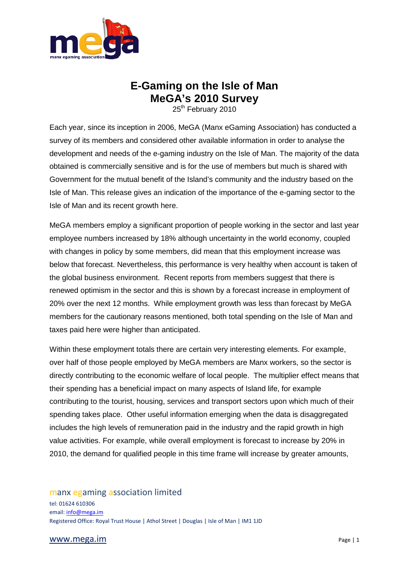

# **E-Gaming on the Isle of Man MeGA's 2010 Survey**

25<sup>th</sup> February 2010

Each year, since its inception in 2006, MeGA (Manx eGaming Association) has conducted a survey of its members and considered other available information in order to analyse the development and needs of the e-gaming industry on the Isle of Man. The majority of the data obtained is commercially sensitive and is for the use of members but much is shared with Government for the mutual benefit of the Island's community and the industry based on the Isle of Man. This release gives an indication of the importance of the e-gaming sector to the Isle of Man and its recent growth here.

MeGA members employ a significant proportion of people working in the sector and last year employee numbers increased by 18% although uncertainty in the world economy, coupled with changes in policy by some members, did mean that this employment increase was below that forecast. Nevertheless, this performance is very healthy when account is taken of the global business environment. Recent reports from members suggest that there is renewed optimism in the sector and this is shown by a forecast increase in employment of 20% over the next 12 months. While employment growth was less than forecast by MeGA members for the cautionary reasons mentioned, both total spending on the Isle of Man and taxes paid here were higher than anticipated.

Within these employment totals there are certain very interesting elements. For example, over half of those people employed by MeGA members are Manx workers, so the sector is directly contributing to the economic welfare of local people. The multiplier effect means that their spending has a beneficial impact on many aspects of Island life, for example contributing to the tourist, housing, services and transport sectors upon which much of their spending takes place. Other useful information emerging when the data is disaggregated includes the high levels of remuneration paid in the industry and the rapid growth in high value activities. For example, while overall employment is forecast to increase by 20% in 2010, the demand for qualified people in this time frame will increase by greater amounts,

manx egaming association limited tel: 01624 610306 email[: info@mega.im](mailto:info@mega.im) Registered Office: Royal Trust House | Athol Street | Douglas | Isle of Man | IM1 1JD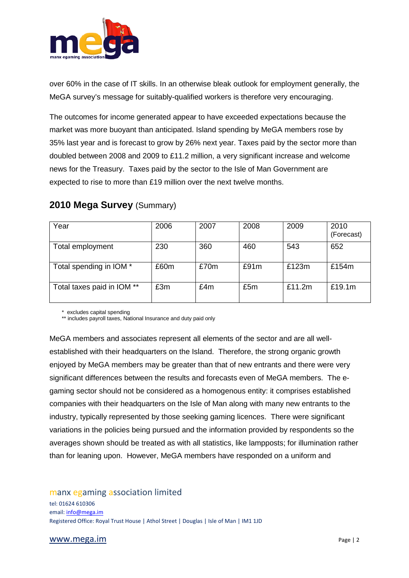

over 60% in the case of IT skills. In an otherwise bleak outlook for employment generally, the MeGA survey's message for suitably-qualified workers is therefore very encouraging.

The outcomes for income generated appear to have exceeded expectations because the market was more buoyant than anticipated. Island spending by MeGA members rose by 35% last year and is forecast to grow by 26% next year. Taxes paid by the sector more than doubled between 2008 and 2009 to £11.2 million, a very significant increase and welcome news for the Treasury. Taxes paid by the sector to the Isle of Man Government are expected to rise to more than £19 million over the next twelve months.

| Year                       | 2006 | 2007 | 2008 | 2009   | 2010<br>(Forecast) |
|----------------------------|------|------|------|--------|--------------------|
| Total employment           | 230  | 360  | 460  | 543    | 652                |
| Total spending in IOM *    | £60m | £70m | £91m | £123m  | £154m              |
| Total taxes paid in IOM ** | £3m  | £4m  | £5m  | £11.2m | £19.1m             |

## **2010 Mega Survey** (Summary)

\* excludes capital spending

\*\* includes payroll taxes. National Insurance and duty paid only

MeGA members and associates represent all elements of the sector and are all wellestablished with their headquarters on the Island. Therefore, the strong organic growth enjoyed by MeGA members may be greater than that of new entrants and there were very significant differences between the results and forecasts even of MeGA members. The egaming sector should not be considered as a homogenous entity: it comprises established companies with their headquarters on the Isle of Man along with many new entrants to the industry, typically represented by those seeking gaming licences. There were significant variations in the policies being pursued and the information provided by respondents so the averages shown should be treated as with all statistics, like lampposts; for illumination rather than for leaning upon. However, MeGA members have responded on a uniform and

manx egaming association limited tel: 01624 610306 email[: info@mega.im](mailto:info@mega.im) Registered Office: Royal Trust House | Athol Street | Douglas | Isle of Man | IM1 1JD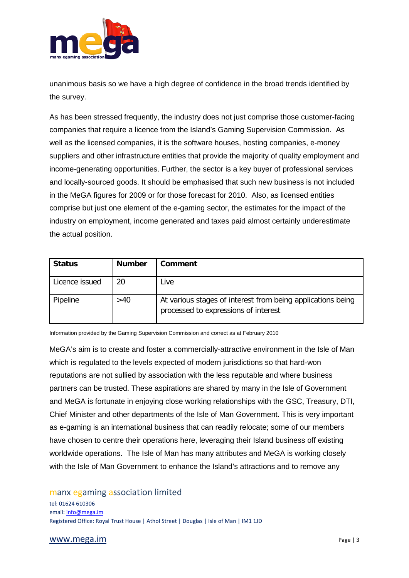

unanimous basis so we have a high degree of confidence in the broad trends identified by the survey.

As has been stressed frequently, the industry does not just comprise those customer-facing companies that require a licence from the Island's Gaming Supervision Commission. As well as the licensed companies, it is the software houses, hosting companies, e-money suppliers and other infrastructure entities that provide the majority of quality employment and income-generating opportunities. Further, the sector is a key buyer of professional services and locally-sourced goods. It should be emphasised that such new business is not included in the MeGA figures for 2009 or for those forecast for 2010. Also, as licensed entities comprise but just one element of the e-gaming sector, the estimates for the impact of the industry on employment, income generated and taxes paid almost certainly underestimate the actual position.

| <b>Status</b>  | <b>Number</b> | Comment                                                                                             |
|----------------|---------------|-----------------------------------------------------------------------------------------------------|
| Licence issued | 20            | Live                                                                                                |
| Pipeline       | >40           | At various stages of interest from being applications being<br>processed to expressions of interest |

Information provided by the Gaming Supervision Commission and correct as at February 2010

MeGA's aim is to create and foster a commercially-attractive environment in the Isle of Man which is regulated to the levels expected of modern jurisdictions so that hard-won reputations are not sullied by association with the less reputable and where business partners can be trusted. These aspirations are shared by many in the Isle of Government and MeGA is fortunate in enjoying close working relationships with the GSC, Treasury, DTI, Chief Minister and other departments of the Isle of Man Government. This is very important as e-gaming is an international business that can readily relocate; some of our members have chosen to centre their operations here, leveraging their Island business off existing worldwide operations. The Isle of Man has many attributes and MeGA is working closely with the Isle of Man Government to enhance the Island's attractions and to remove any

manx egaming association limited

tel: 01624 610306 email[: info@mega.im](mailto:info@mega.im) Registered Office: Royal Trust House | Athol Street | Douglas | Isle of Man | IM1 1JD